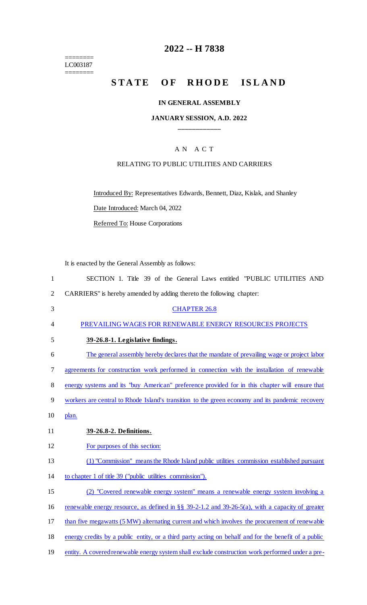======== LC003187 ========

# **2022 -- H 7838**

# STATE OF RHODE ISLAND

# **IN GENERAL ASSEMBLY**

# **JANUARY SESSION, A.D. 2022 \_\_\_\_\_\_\_\_\_\_\_\_**

# A N A C T

## RELATING TO PUBLIC UTILITIES AND CARRIERS

Introduced By: Representatives Edwards, Bennett, Diaz, Kislak, and Shanley

Date Introduced: March 04, 2022

Referred To: House Corporations

It is enacted by the General Assembly as follows:

| $\mathbf{1}$   | SECTION 1. Title 39 of the General Laws entitled "PUBLIC UTILITIES AND                               |
|----------------|------------------------------------------------------------------------------------------------------|
| $\overline{2}$ | CARRIERS" is hereby amended by adding thereto the following chapter:                                 |
| 3              | <b>CHAPTER 26.8</b>                                                                                  |
| 4              | PREVAILING WAGES FOR RENEWABLE ENERGY RESOURCES PROJECTS                                             |
| 5              | 39-26.8-1. Legislative findings.                                                                     |
| 6              | The general assembly hereby declares that the mandate of prevailing wage or project labor            |
| 7              | agreements for construction work performed in connection with the installation of renewable          |
| 8              | energy systems and its "buy American" preference provided for in this chapter will ensure that       |
| 9              | workers are central to Rhode Island's transition to the green economy and its pandemic recovery      |
| 10             | plan.                                                                                                |
| 11             | 39-26.8-2. Definitions.                                                                              |
| 12             | For purposes of this section:                                                                        |
| 13             | (1) "Commission" means the Rhode Island public utilities commission established pursuant             |
| 14             | to chapter 1 of title 39 ("public utilities commission").                                            |
| 15             | (2) "Covered renewable energy system" means a renewable energy system involving a                    |
| 16             | renewable energy resource, as defined in §§ 39-2-1.2 and 39-26-5(a), with a capacity of greater      |
| 17             | than five megawatts (5 MW) alternating current and which involves the procurement of renewable       |
| 18             | energy credits by a public entity, or a third party acting on behalf and for the benefit of a public |
| 19             | entity. A covered renewable energy system shall exclude construction work performed under a pre-     |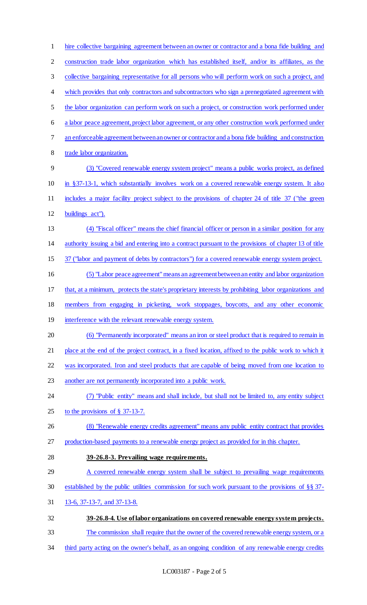hire collective bargaining agreement between an owner or contractor and a bona fide building and construction trade labor organization which has established itself, and/or its affiliates, as the collective bargaining representative for all persons who will perform work on such a project, and 4 which provides that only contractors and subcontractors who sign a prenegotiated agreement with the labor organization can perform work on such a project, or construction work performed under a labor peace agreement, project labor agreement, or any other construction work performed under an enforceable agreement between an owner or contractor and a bona fide building and construction 8 trade labor organization. (3) "Covered renewable energy system project" means a public works project, as defined in §37-13-1, which substantially involves work on a covered renewable energy system. It also includes a major facility project subject to the provisions of chapter 24 of title 37 ("the green buildings act"). (4) "Fiscal officer" means the chief financial officer or person in a similar position for any authority issuing a bid and entering into a contract pursuant to the provisions of chapter 13 of title 15 37 ("labor and payment of debts by contractors") for a covered renewable energy system project. (5) "Labor peace agreement" means an agreement between an entity and labor organization that, at a minimum, protects the state's proprietary interests by prohibiting labor organizations and members from engaging in picketing, work stoppages, boycotts, and any other economic 19 interference with the relevant renewable energy system. (6) "Permanently incorporated" means an iron or steel product that is required to remain in place at the end of the project contract, in a fixed location, affixed to the public work to which it was incorporated. Iron and steel products that are capable of being moved from one location to another are not permanently incorporated into a public work. (7) "Public entity" means and shall include, but shall not be limited to, any entity subject 25 to the provisions of  $\S$  37-13-7. (8) "Renewable energy credits agreement" means any public entity contract that provides 27 production-based payments to a renewable energy project as provided for in this chapter. **39-26.8-3. Prevailing wage requirements.**  29 A covered renewable energy system shall be subject to prevailing wage requirements established by the public utilities commission for such work pursuant to the provisions of §§ 37- 13-6, 37-13-7, and 37-13-8. **39-26.8-4. Use of labor organizations on covered renewable energy system projects.**  The commission shall require that the owner of the covered renewable energy system, or a 34 third party acting on the owner's behalf, as an ongoing condition of any renewable energy credits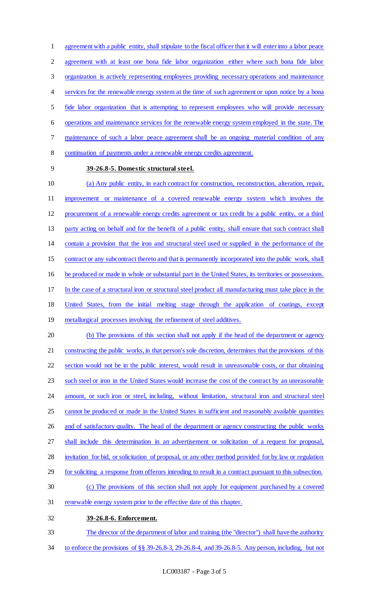agreement with a public entity, shall stipulate to the fiscal officer that it will enter into a labor peace agreement with at least one bona fide labor organization either where such bona fide labor organization is actively representing employees providing necessary operations and maintenance 4 services for the renewable energy system at the time of such agreement or upon notice by a bona fide labor organization that is attempting to represent employees who will provide necessary operations and maintenance services for the renewable energy system employed in the state. The maintenance of such a labor peace agreement shall be an ongoing material condition of any continuation of payments under a renewable energy credits agreement. **39-26.8-5. Domestic structural steel.** 

 (a) Any public entity, in each contract for construction, reconstruction, alteration, repair, improvement or maintenance of a covered renewable energy system which involves the procurement of a renewable energy credits agreement or tax credit by a public entity, or a third party acting on behalf and for the benefit of a public entity, shall ensure that such contract shall contain a provision that the iron and structural steel used or supplied in the performance of the contract or any subcontract thereto and that is permanently incorporated into the public work, shall be produced or made in whole or substantial part in the United States, its territories or possessions. In the case of a structural iron or structural steel product all manufacturing must take place in the United States, from the initial melting stage through the application of coatings, except 19 metallurgical processes involving the refinement of steel additives. (b) The provisions of this section shall not apply if the head of the department or agency constructing the public works, in that person's sole discretion, determines that the provisions of this section would not be in the public interest, would result in unreasonable costs, or that obtaining such steel or iron in the United States would increase the cost of the contract by an unreasonable

24 amount, or such iron or steel, including, without limitation, structural iron and structural steel

- cannot be produced or made in the United States in sufficient and reasonably available quantities
- 26 and of satisfactory quality. The head of the department or agency constructing the public works

shall include this determination in an advertisement or solicitation of a request for proposal,

- invitation for bid, or solicitation of proposal, or any other method provided for by law or regulation
- for soliciting a response from offerors intending to result in a contract pursuant to this subsection.
- (c) The provisions of this section shall not apply for equipment purchased by a covered
- renewable energy system prior to the effective date of this chapter.
- **39-26.8-6. Enforcement.**
- The director of the department of labor and training (the "director") shall have the authority
- to enforce the provisions of §§ 39-26.8-3, 29-26.8-4, and 39-26.8-5. Any person, including, but not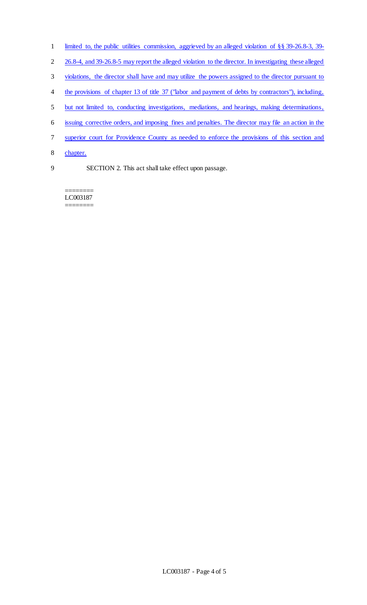- limited to, the public utilities commission, aggrieved by an alleged violation of §§ 39-26.8-3, 39-
- 26.8-4, and 39-26.8-5 may report the alleged violation to the director. In investigating these alleged
- violations, the director shall have and may utilize the powers assigned to the director pursuant to
- 4 the provisions of chapter 13 of title 37 ("labor and payment of debts by contractors"), including,
- but not limited to, conducting investigations, mediations, and hearings, making determinations,
- issuing corrective orders, and imposing fines and penalties. The director may file an action in the
- superior court for Providence County as needed to enforce the provisions of this section and
- chapter.
- 

SECTION 2. This act shall take effect upon passage.

======== LC003187 ========